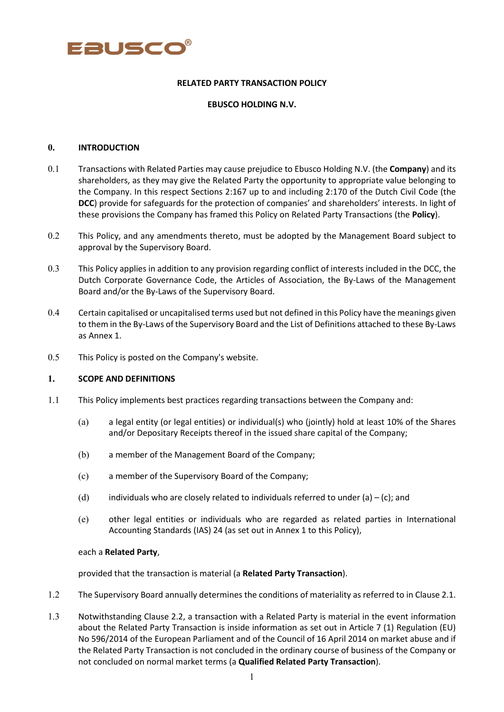

#### **RELATED PARTY TRANSACTION POLICY**

#### **EBUSCO HOLDING N.V.**

#### **0. INTRODUCTION**

- 0.1 Transactions with Related Parties may cause prejudice to Ebusco Holding N.V. (the **Company**) and its shareholders, as they may give the Related Party the opportunity to appropriate value belonging to the Company. In this respect Sections 2:167 up to and including 2:170 of the Dutch Civil Code (the **DCC**) provide for safeguards for the protection of companies' and shareholders' interests. In light of these provisions the Company has framed this Policy on Related Party Transactions (the **Policy**).
- 0.2 This Policy, and any amendments thereto, must be adopted by the Management Board subject to approval by the Supervisory Board.
- 0.3 This Policy applies in addition to any provision regarding conflict of interests included in the DCC, the Dutch Corporate Governance Code, the Articles of Association, the By-Laws of the Management Board and/or the By-Laws of the Supervisory Board.
- 0.4 Certain capitalised or uncapitalised terms used but not defined in this Policy have the meanings given to them in the By-Laws of the Supervisory Board and the List of Definitions attached to these By-Laws as Annex 1.
- 0.5 This Policy is posted on the Company's website.

## **1. SCOPE AND DEFINITIONS**

- 1.1 This Policy implements best practices regarding transactions between the Company and:
	- (a) a legal entity (or legal entities) or individual(s) who (jointly) hold at least 10% of the Shares and/or Depositary Receipts thereof in the issued share capital of the Company;
	- (b) a member of the Management Board of the Company;
	- (c) a member of the Supervisory Board of the Company;
	- (d) individuals who are closely related to individuals referred to under (a) (c); and
	- (e) other legal entities or individuals who are regarded as related parties in International Accounting Standards (IAS) 24 (as set out in Annex 1 to this Policy),

#### each a **Related Party**,

provided that the transaction is material (a **Related Party Transaction**).

- 1.2 The Supervisory Board annually determines the conditions of materiality as referred to in Clause 2.1.
- 1.3 Notwithstanding Clause 2.2, a transaction with a Related Party is material in the event information about the Related Party Transaction is inside information as set out in Article 7 (1) Regulation (EU) No 596/2014 of the European Parliament and of the Council of 16 April 2014 on market abuse and if the Related Party Transaction is not concluded in the ordinary course of business of the Company or not concluded on normal market terms (a **Qualified Related Party Transaction**).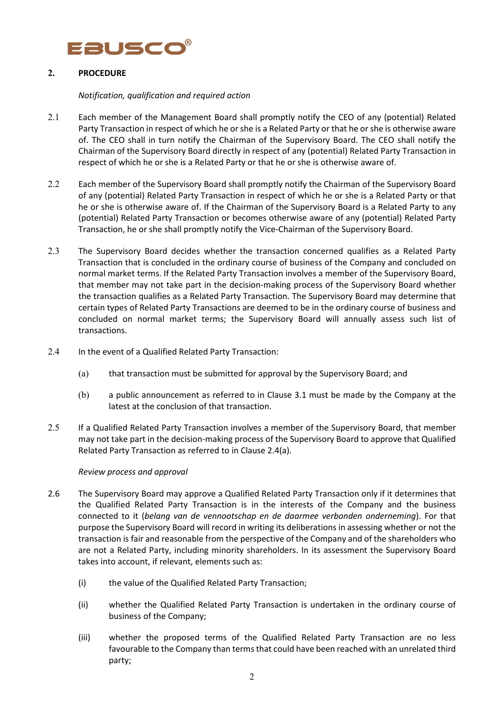## EAUSCO

## **2. PROCEDURE**

## *Notification, qualification and required action*

- 2.1 Each member of the Management Board shall promptly notify the CEO of any (potential) Related Party Transaction in respect of which he or she is a Related Party or that he or she is otherwise aware of. The CEO shall in turn notify the Chairman of the Supervisory Board. The CEO shall notify the Chairman of the Supervisory Board directly in respect of any (potential) Related Party Transaction in respect of which he or she is a Related Party or that he or she is otherwise aware of.
- 2.2 Each member of the Supervisory Board shall promptly notify the Chairman of the Supervisory Board of any (potential) Related Party Transaction in respect of which he or she is a Related Party or that he or she is otherwise aware of. If the Chairman of the Supervisory Board is a Related Party to any (potential) Related Party Transaction or becomes otherwise aware of any (potential) Related Party Transaction, he or she shall promptly notify the Vice-Chairman of the Supervisory Board.
- 2.3 The Supervisory Board decides whether the transaction concerned qualifies as a Related Party Transaction that is concluded in the ordinary course of business of the Company and concluded on normal market terms. If the Related Party Transaction involves a member of the Supervisory Board, that member may not take part in the decision-making process of the Supervisory Board whether the transaction qualifies as a Related Party Transaction. The Supervisory Board may determine that certain types of Related Party Transactions are deemed to be in the ordinary course of business and concluded on normal market terms; the Supervisory Board will annually assess such list of transactions.
- 2.4 In the event of a Qualified Related Party Transaction:
	- (a) that transaction must be submitted for approval by the Supervisory Board; and
	- (b) a public announcement as referred to in Clause 3.1 must be made by the Company at the latest at the conclusion of that transaction.
- 2.5 If a Qualified Related Party Transaction involves a member of the Supervisory Board, that member may not take part in the decision-making process of the Supervisory Board to approve that Qualified Related Party Transaction as referred to in Clause 2.4(a).

## *Review process and approval*

- 2.6 The Supervisory Board may approve a Qualified Related Party Transaction only if it determines that the Qualified Related Party Transaction is in the interests of the Company and the business connected to it (*belang van de vennootschap en de daarmee verbonden onderneming*). For that purpose the Supervisory Board will record in writing its deliberations in assessing whether or not the transaction is fair and reasonable from the perspective of the Company and of the shareholders who are not a Related Party, including minority shareholders. In its assessment the Supervisory Board takes into account, if relevant, elements such as:
	- (i) the value of the Qualified Related Party Transaction;
	- (ii) whether the Qualified Related Party Transaction is undertaken in the ordinary course of business of the Company;
	- (iii) whether the proposed terms of the Qualified Related Party Transaction are no less favourable to the Company than terms that could have been reached with an unrelated third party;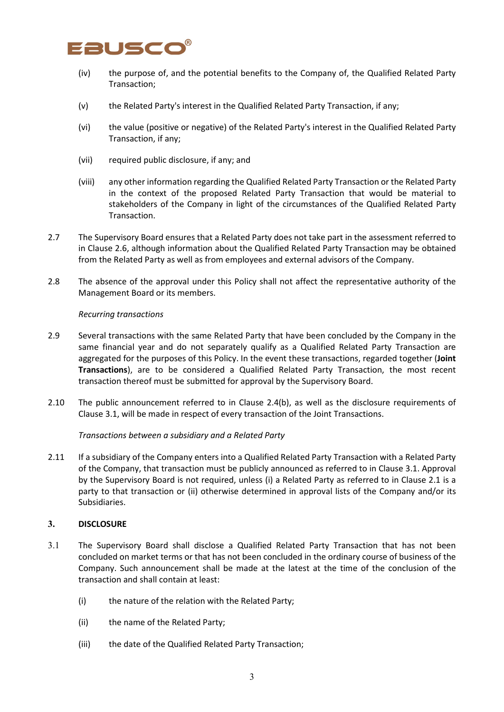

- (iv) the purpose of, and the potential benefits to the Company of, the Qualified Related Party Transaction;
- (v) the Related Party's interest in the Qualified Related Party Transaction, if any;
- (vi) the value (positive or negative) of the Related Party's interest in the Qualified Related Party Transaction, if any;
- (vii) required public disclosure, if any; and
- (viii) any other information regarding the Qualified Related Party Transaction or the Related Party in the context of the proposed Related Party Transaction that would be material to stakeholders of the Company in light of the circumstances of the Qualified Related Party Transaction.
- 2.7 The Supervisory Board ensures that a Related Party does not take part in the assessment referred to in Clause 2.6, although information about the Qualified Related Party Transaction may be obtained from the Related Party as well as from employees and external advisors of the Company.
- 2.8 The absence of the approval under this Policy shall not affect the representative authority of the Management Board or its members.

#### *Recurring transactions*

- 2.9 Several transactions with the same Related Party that have been concluded by the Company in the same financial year and do not separately qualify as a Qualified Related Party Transaction are aggregated for the purposes of this Policy. In the event these transactions, regarded together (**Joint Transactions**), are to be considered a Qualified Related Party Transaction, the most recent transaction thereof must be submitted for approval by the Supervisory Board.
- 2.10 The public announcement referred to in Clause 2.4(b), as well as the disclosure requirements of Clause 3.1, will be made in respect of every transaction of the Joint Transactions.

#### *Transactions between a subsidiary and a Related Party*

2.11 If a subsidiary of the Company enters into a Qualified Related Party Transaction with a Related Party of the Company, that transaction must be publicly announced as referred to in Clause 3.1. Approval by the Supervisory Board is not required, unless (i) a Related Party as referred to in Clause 2.1 is a party to that transaction or (ii) otherwise determined in approval lists of the Company and/or its Subsidiaries.

#### **3. DISCLOSURE**

- 3.1 The Supervisory Board shall disclose a Qualified Related Party Transaction that has not been concluded on market terms or that has not been concluded in the ordinary course of business of the Company. Such announcement shall be made at the latest at the time of the conclusion of the transaction and shall contain at least:
	- (i) the nature of the relation with the Related Party;
	- (ii) the name of the Related Party;
	- (iii) the date of the Qualified Related Party Transaction;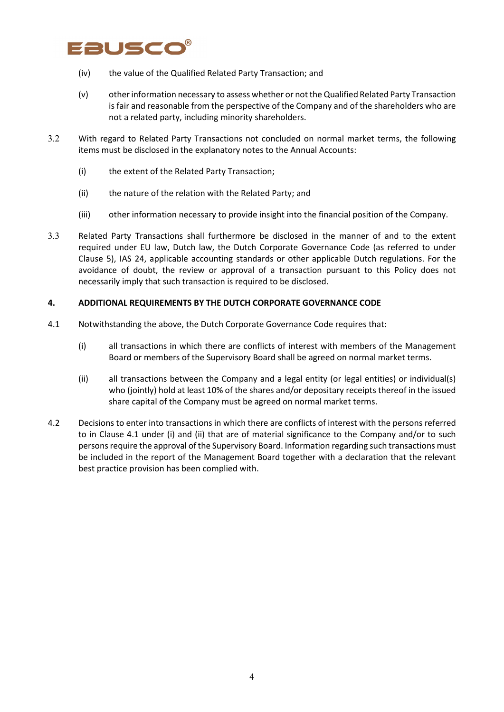# EAUSCO

- (iv) the value of the Qualified Related Party Transaction; and
- (v) other information necessary to assess whether or not the Qualified Related Party Transaction is fair and reasonable from the perspective of the Company and of the shareholders who are not a related party, including minority shareholders.
- 3.2 With regard to Related Party Transactions not concluded on normal market terms, the following items must be disclosed in the explanatory notes to the Annual Accounts:
	- (i) the extent of the Related Party Transaction;
	- (ii) the nature of the relation with the Related Party; and
	- (iii) other information necessary to provide insight into the financial position of the Company.
- 3.3 Related Party Transactions shall furthermore be disclosed in the manner of and to the extent required under EU law, Dutch law, the Dutch Corporate Governance Code (as referred to under Clause 5), IAS 24, applicable accounting standards or other applicable Dutch regulations. For the avoidance of doubt, the review or approval of a transaction pursuant to this Policy does not necessarily imply that such transaction is required to be disclosed.

## **4. ADDITIONAL REQUIREMENTS BY THE DUTCH CORPORATE GOVERNANCE CODE**

- 4.1 Notwithstanding the above, the Dutch Corporate Governance Code requires that:
	- (i) all transactions in which there are conflicts of interest with members of the Management Board or members of the Supervisory Board shall be agreed on normal market terms.
	- (ii) all transactions between the Company and a legal entity (or legal entities) or individual(s) who (jointly) hold at least 10% of the shares and/or depositary receipts thereof in the issued share capital of the Company must be agreed on normal market terms.
- 4.2 Decisions to enter into transactions in which there are conflicts of interest with the persons referred to in Clause 4.1 under (i) and (ii) that are of material significance to the Company and/or to such persons require the approval of the Supervisory Board. Information regarding such transactions must be included in the report of the Management Board together with a declaration that the relevant best practice provision has been complied with.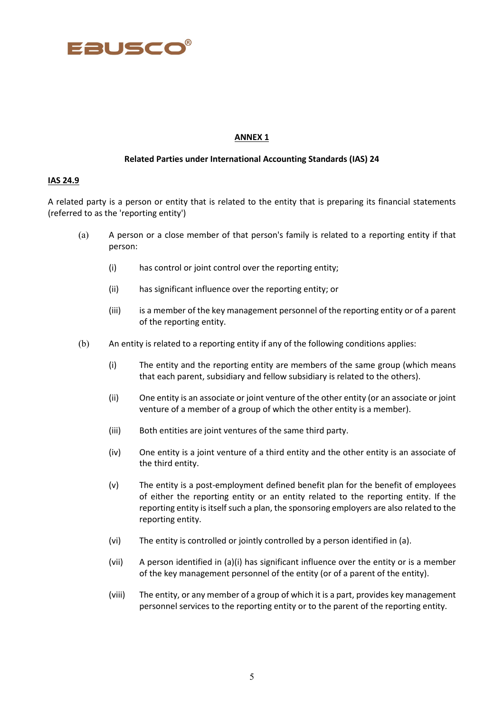

## **ANNEX 1**

## **Related Parties under International Accounting Standards (IAS) 24**

#### **IAS 24.9**

A related party is a person or entity that is related to the entity that is preparing its financial statements (referred to as the 'reporting entity')

- (a) A person or a close member of that person's family is related to a reporting entity if that person:
	- (i) has control or joint control over the reporting entity;
	- (ii) has significant influence over the reporting entity; or
	- (iii) is a member of the key management personnel of the reporting entity or of a parent of the reporting entity.
- (b) An entity is related to a reporting entity if any of the following conditions applies:
	- (i) The entity and the reporting entity are members of the same group (which means that each parent, subsidiary and fellow subsidiary is related to the others).
	- (ii) One entity is an associate or joint venture of the other entity (or an associate or joint venture of a member of a group of which the other entity is a member).
	- (iii) Both entities are joint ventures of the same third party.
	- (iv) One entity is a joint venture of a third entity and the other entity is an associate of the third entity.
	- (v) The entity is a post-employment defined benefit plan for the benefit of employees of either the reporting entity or an entity related to the reporting entity. If the reporting entity is itself such a plan, the sponsoring employers are also related to the reporting entity.
	- (vi) The entity is controlled or jointly controlled by a person identified in (a).
	- (vii) A person identified in (a)(i) has significant influence over the entity or is a member of the key management personnel of the entity (or of a parent of the entity).
	- (viii) The entity, or any member of a group of which it is a part, provides key management personnel services to the reporting entity or to the parent of the reporting entity.